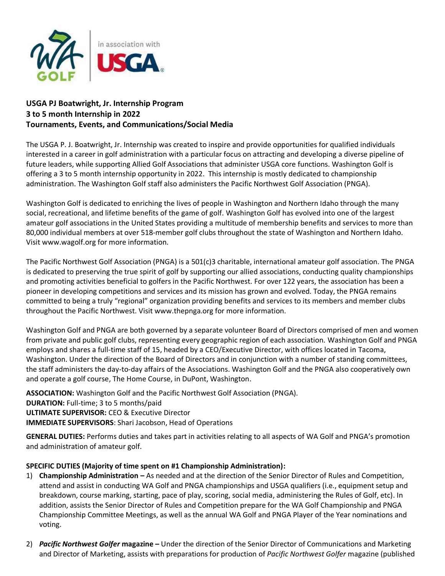

# **USGA PJ Boatwright, Jr. Internship Program 3 to 5 month Internship in 2022 Tournaments, Events, and Communications/Social Media**

The USGA P. J. Boatwright, Jr. Internship was created to inspire and provide opportunities for qualified individuals interested in a career in golf administration with a particular focus on attracting and developing a diverse pipeline of future leaders, while supporting Allied Golf Associations that administer USGA core functions. Washington Golf is offering a 3 to 5 month internship opportunity in 2022. This internship is mostly dedicated to championship administration. The Washington Golf staff also administers the Pacific Northwest Golf Association (PNGA).

Washington Golf is dedicated to enriching the lives of people in Washington and Northern Idaho through the many social, recreational, and lifetime benefits of the game of golf. Washington Golf has evolved into one of the largest amateur golf associations in the United States providing a multitude of membership benefits and services to more than 80,000 individual members at over 518-member golf clubs throughout the state of Washington and Northern Idaho. Visit www.wagolf.org for more information.

The Pacific Northwest Golf Association (PNGA) is a 501(c)3 charitable, international amateur golf association. The PNGA is dedicated to preserving the true spirit of golf by supporting our allied associations, conducting quality championships and promoting activities beneficial to golfers in the Pacific Northwest. For over 122 years, the association has been a pioneer in developing competitions and services and its mission has grown and evolved. Today, the PNGA remains committed to being a truly "regional" organization providing benefits and services to its members and member clubs throughout the Pacific Northwest. Visit www.thepnga.org for more information.

Washington Golf and PNGA are both governed by a separate volunteer Board of Directors comprised of men and women from private and public golf clubs, representing every geographic region of each association. Washington Golf and PNGA employs and shares a full-time staff of 15, headed by a CEO/Executive Director, with offices located in Tacoma, Washington. Under the direction of the Board of Directors and in conjunction with a number of standing committees, the staff administers the day-to-day affairs of the Associations. Washington Golf and the PNGA also cooperatively own and operate a golf course, The Home Course, in DuPont, Washington.

**ASSOCIATION:** Washington Golf and the Pacific Northwest Golf Association (PNGA). **DURATION:** Full-time; 3 to 5 months/paid **ULTIMATE SUPERVISOR:** CEO & Executive Director **IMMEDIATE SUPERVISORS**: Shari Jacobson, Head of Operations

**GENERAL DUTIES:** Performs duties and takes part in activities relating to all aspects of WA Golf and PNGA's promotion and administration of amateur golf.

## **SPECIFIC DUTIES (Majority of time spent on #1 Championship Administration):**

- 1) **Championship Administration –** As needed and at the direction of the Senior Director of Rules and Competition, attend and assist in conducting WA Golf and PNGA championships and USGA qualifiers (i.e., equipment setup and breakdown, course marking, starting, pace of play, scoring, social media, administering the Rules of Golf, etc). In addition, assists the Senior Director of Rules and Competition prepare for the WA Golf Championship and PNGA Championship Committee Meetings, as well as the annual WA Golf and PNGA Player of the Year nominations and voting.
- 2) *Pacific Northwest Golfer* **magazine –** Under the direction of the Senior Director of Communications and Marketing and Director of Marketing, assists with preparations for production of *Pacific Northwest Golfer* magazine (published